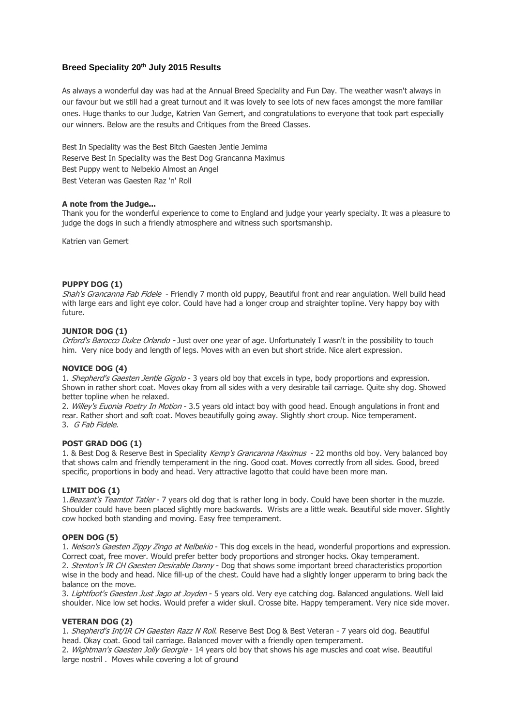# **Breed Speciality 20th July 2015 Results**

As always a wonderful day was had at the Annual Breed Speciality and Fun Day. The weather wasn't always in our favour but we still had a great turnout and it was lovely to see lots of new faces amongst the more familiar ones. Huge thanks to our Judge, Katrien Van Gemert, and congratulations to everyone that took part especially our winners. Below are the results and Critiques from the Breed Classes.

Best In Speciality was the Best Bitch Gaesten Jentle Jemima Reserve Best In Speciality was the Best Dog Grancanna Maximus Best Puppy went to Nelbekio Almost an Angel Best Veteran was Gaesten Raz 'n' Roll

## **A note from the Judge...**

Thank you for the wonderful experience to come to England and judge your yearly specialty. It was a pleasure to judge the dogs in such a friendly atmosphere and witness such sportsmanship.

Katrien van Gemert

## **PUPPY DOG (1)**

Shah's Grancanna Fab Fidele - Friendly 7 month old puppy, Beautiful front and rear angulation. Well build head with large ears and light eye color. Could have had a longer croup and straighter topline. Very happy boy with future.

## **JUNIOR DOG (1)**

Orford's Barocco Dulce Orlando - Just over one year of age. Unfortunately I wasn't in the possibility to touch him. Very nice body and length of legs. Moves with an even but short stride. Nice alert expression.

### **NOVICE DOG (4)**

1. Shepherd's Gaesten Jentle Gigolo - 3 years old boy that excels in type, body proportions and expression. Shown in rather short coat. Moves okay from all sides with a very desirable tail carriage. Quite shy dog. Showed better topline when he relaxed.

2. Willey's Euonia Poetry In Motion - 3.5 years old intact boy with good head. Enough angulations in front and rear. Rather short and soft coat. Moves beautifully going away. Slightly short croup. Nice temperament. 3. G Fab Fidele.

### **POST GRAD DOG (1)**

1. & Best Dog & Reserve Best in Speciality Kemp's Grancanna Maximus - 22 months old boy. Very balanced boy that shows calm and friendly temperament in the ring. Good coat. Moves correctly from all sides. Good, breed specific, proportions in body and head. Very attractive lagotto that could have been more man.

### **LIMIT DOG (1)**

1. Beazant's Teamtot Tatler - 7 years old dog that is rather long in body. Could have been shorter in the muzzle. Shoulder could have been placed slightly more backwards. Wrists are a little weak. Beautiful side mover. Slightly cow hocked both standing and moving. Easy free temperament.

### **OPEN DOG (5)**

1. Nelson's Gaesten Zippy Zingo at Nelbekio - This dog excels in the head, wonderful proportions and expression. Correct coat, free mover. Would prefer better body proportions and stronger hocks. Okay temperament. 2. Stenton's IR CH Gaesten Desirable Danny - Dog that shows some important breed characteristics proportion wise in the body and head. Nice fill-up of the chest. Could have had a slightly longer upperarm to bring back the balance on the move.

3. Lightfoot's Gaesten Just Jago at Joyden - 5 years old. Very eye catching dog. Balanced angulations. Well laid shoulder. Nice low set hocks. Would prefer a wider skull. Crosse bite. Happy temperament. Very nice side mover.

### **VETERAN DOG (2)**

1. Shepherd's Int/IR CH Gaesten Razz N Roll. Reserve Best Dog & Best Veteran - 7 years old dog. Beautiful head. Okay coat. Good tail carriage. Balanced mover with a friendly open temperament.

2. Wightman's Gaesten Jolly Georgie - 14 years old boy that shows his age muscles and coat wise. Beautiful large nostril . Moves while covering a lot of ground